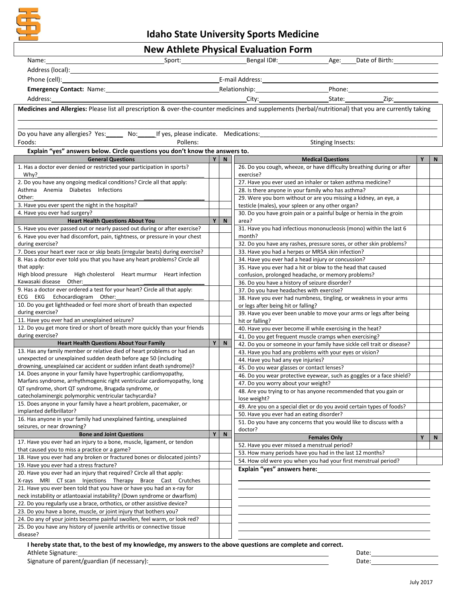

**Idaho State University Sports Medicine**

| <b>New Athlete Physical Evaluation Form</b>                                                                                                           |   |              |                                                                                                                                                                                                                                |   |   |  |  |  |  |  |
|-------------------------------------------------------------------------------------------------------------------------------------------------------|---|--------------|--------------------------------------------------------------------------------------------------------------------------------------------------------------------------------------------------------------------------------|---|---|--|--|--|--|--|
| Name:                                                                                                                                                 |   |              | Sport: Sport: Bengal ID#: Bengal ID#: Age: Date of Birth:                                                                                                                                                                      |   |   |  |  |  |  |  |
|                                                                                                                                                       |   |              |                                                                                                                                                                                                                                |   |   |  |  |  |  |  |
|                                                                                                                                                       |   |              |                                                                                                                                                                                                                                |   |   |  |  |  |  |  |
|                                                                                                                                                       |   |              | Emergency Contact: Name: 1990 March 2010 March 2010 March 2010 March 2010 March 2010 March 2010 March 2010 March 2010 March 2010 March 2010 March 2010 March 2010 March 2010 March 2010 March 2010 March 2010 March 2010 March |   |   |  |  |  |  |  |
|                                                                                                                                                       |   |              |                                                                                                                                                                                                                                |   |   |  |  |  |  |  |
| Address:                                                                                                                                              |   |              |                                                                                                                                                                                                                                |   |   |  |  |  |  |  |
| Medicines and Allergies: Please list all prescription & over-the-counter medicines and supplements (herbal/nutritional) that you are currently taking |   |              |                                                                                                                                                                                                                                |   |   |  |  |  |  |  |
|                                                                                                                                                       |   |              |                                                                                                                                                                                                                                |   |   |  |  |  |  |  |
| Do you have any allergies? Yes: _____ No: _____ If yes, please indicate. Medications:                                                                 |   |              |                                                                                                                                                                                                                                |   |   |  |  |  |  |  |
| Pollens:<br>Foods:                                                                                                                                    |   |              | <b>Stinging Insects:</b>                                                                                                                                                                                                       |   |   |  |  |  |  |  |
| Explain "yes" answers below. Circle questions you don't know the answers to.                                                                          |   |              |                                                                                                                                                                                                                                |   |   |  |  |  |  |  |
| <b>General Questions</b>                                                                                                                              | Y | N            | <b>Medical Questions</b>                                                                                                                                                                                                       | Υ | N |  |  |  |  |  |
| 1. Has a doctor ever denied or restricted your participation in sports?                                                                               |   |              | 26. Do you cough, wheeze, or have difficulty breathing during or after                                                                                                                                                         |   |   |  |  |  |  |  |
| Why?                                                                                                                                                  |   |              | exercise?                                                                                                                                                                                                                      |   |   |  |  |  |  |  |
| 2. Do you have any ongoing medical conditions? Circle all that apply:                                                                                 |   |              | 27. Have you ever used an inhaler or taken asthma medicine?                                                                                                                                                                    |   |   |  |  |  |  |  |
| Asthma Anemia Diabetes Infections                                                                                                                     |   |              | 28. Is there anyone in your family who has asthma?                                                                                                                                                                             |   |   |  |  |  |  |  |
| Other:                                                                                                                                                |   |              | 29. Were you born without or are you missing a kidney, an eye, a                                                                                                                                                               |   |   |  |  |  |  |  |
| 3. Have you ever spent the night in the hospital?                                                                                                     |   |              | testicle (males), your spleen or any other organ?                                                                                                                                                                              |   |   |  |  |  |  |  |
| 4. Have you ever had surgery?<br><b>Heart Health Questions About You</b>                                                                              | Y | ${\sf N}$    | 30. Do you have groin pain or a painful bulge or hernia in the groin<br>area?                                                                                                                                                  |   |   |  |  |  |  |  |
| 5. Have you ever passed out or nearly passed out during or after exercise?                                                                            |   |              | 31. Have you had infectious mononucleosis (mono) within the last 6                                                                                                                                                             |   |   |  |  |  |  |  |
| 6. Have you ever had discomfort, pain, tightness, or pressure in your chest                                                                           |   |              | month?                                                                                                                                                                                                                         |   |   |  |  |  |  |  |
| during exercise?                                                                                                                                      |   |              | 32. Do you have any rashes, pressure sores, or other skin problems?                                                                                                                                                            |   |   |  |  |  |  |  |
| 7. Does your heart ever race or skip beats (irregular beats) during exercise?                                                                         |   |              | 33. Have you had a herpes or MRSA skin infection?                                                                                                                                                                              |   |   |  |  |  |  |  |
| 8. Has a doctor ever told you that you have any heart problems? Circle all                                                                            |   |              | 34. Have you ever had a head injury or concussion?                                                                                                                                                                             |   |   |  |  |  |  |  |
| that apply:                                                                                                                                           |   |              | 35. Have you ever had a hit or blow to the head that caused                                                                                                                                                                    |   |   |  |  |  |  |  |
| High blood pressure High cholesterol Heart murmur Heart infection                                                                                     |   |              | confusion, prolonged headache, or memory problems?                                                                                                                                                                             |   |   |  |  |  |  |  |
| Kawasaki disease Other:<br>9. Has a doctor ever ordered a test for your heart? Circle all that apply:                                                 |   |              | 36. Do you have a history of seizure disorder?                                                                                                                                                                                 |   |   |  |  |  |  |  |
| ECG EKG Echocardiogram Other:                                                                                                                         |   |              | 37. Do you have headaches with exercise?                                                                                                                                                                                       |   |   |  |  |  |  |  |
| 10. Do you get lightheaded or feel more short of breath than expected                                                                                 |   |              | 38. Have you ever had numbness, tingling, or weakness in your arms<br>or legs after being hit or falling?                                                                                                                      |   |   |  |  |  |  |  |
| during exercise?                                                                                                                                      |   |              | 39. Have you ever been unable to move your arms or legs after being                                                                                                                                                            |   |   |  |  |  |  |  |
| 11. Have you ever had an unexplained seizure?                                                                                                         |   |              | hit or falling?                                                                                                                                                                                                                |   |   |  |  |  |  |  |
| 12. Do you get more tired or short of breath more quickly than your friends                                                                           |   |              | 40. Have you ever become ill while exercising in the heat?                                                                                                                                                                     |   |   |  |  |  |  |  |
| during exercise?                                                                                                                                      |   |              | 41. Do you get frequent muscle cramps when exercising?                                                                                                                                                                         |   |   |  |  |  |  |  |
| <b>Heart Health Questions About Your Family</b>                                                                                                       |   | $Y$ N        | 42. Do you or someone in your family have sickle cell trait or disease?                                                                                                                                                        |   |   |  |  |  |  |  |
| 13. Has any family member or relative died of heart problems or had an<br>unexpected or unexplained sudden death before age 50 (including             |   |              | 43. Have you had any problems with your eyes or vision?                                                                                                                                                                        |   |   |  |  |  |  |  |
| drowning, unexplained car accident or sudden infant death syndrome)?                                                                                  |   |              | 44. Have you had any eye injuries?                                                                                                                                                                                             |   |   |  |  |  |  |  |
| 14. Does anyone in your family have hypertrophic cardiomyopathy,                                                                                      |   |              | 45. Do you wear glasses or contact lenses?                                                                                                                                                                                     |   |   |  |  |  |  |  |
| Marfans syndrome, arrhythmogenic right ventricular cardiomyopathy, long                                                                               |   |              | 46. Do you wear protective eyewear, such as goggles or a face shield?                                                                                                                                                          |   |   |  |  |  |  |  |
| QT syndrome, short QT syndrome, Brugada syndrome, or                                                                                                  |   |              | 47. Do you worry about your weight?<br>48. Are you trying to or has anyone recommended that you gain or                                                                                                                        |   |   |  |  |  |  |  |
| catecholaminergic polymorphic ventricular tachycardia?                                                                                                |   |              | lose weight?                                                                                                                                                                                                                   |   |   |  |  |  |  |  |
| 15. Does anyone in your family have a heart problem, pacemaker, or                                                                                    |   |              | 49. Are you on a special diet or do you avoid certain types of foods?                                                                                                                                                          |   |   |  |  |  |  |  |
| implanted defibrillator?                                                                                                                              |   |              | 50. Have you ever had an eating disorder?                                                                                                                                                                                      |   |   |  |  |  |  |  |
| 16. Has anyone in your family had unexplained fainting, unexplained<br>seizures, or near drowning?                                                    |   |              | 51. Do you have any concerns that you would like to discuss with a                                                                                                                                                             |   |   |  |  |  |  |  |
| <b>Bone and Joint Questions</b>                                                                                                                       | Y | $\mathsf{N}$ | doctor?                                                                                                                                                                                                                        |   |   |  |  |  |  |  |
| 17. Have you ever had an injury to a bone, muscle, ligament, or tendon                                                                                |   |              | <b>Females Only</b>                                                                                                                                                                                                            | Y | N |  |  |  |  |  |
| that caused you to miss a practice or a game?                                                                                                         |   |              | 52. Have you ever missed a menstrual period?                                                                                                                                                                                   |   |   |  |  |  |  |  |
| 18. Have you ever had any broken or fractured bones or dislocated joints?                                                                             |   |              | 53. How many periods have you had in the last 12 months?<br>54. How old were you when you had your first menstrual period?                                                                                                     |   |   |  |  |  |  |  |
| 19. Have you ever had a stress fracture?                                                                                                              |   |              | Explain "yes" answers here:                                                                                                                                                                                                    |   |   |  |  |  |  |  |
| 20. Have you ever had an injury that required? Circle all that apply:                                                                                 |   |              |                                                                                                                                                                                                                                |   |   |  |  |  |  |  |
| X-rays MRI CT scan Injections Therapy Brace Cast Crutches                                                                                             |   |              |                                                                                                                                                                                                                                |   |   |  |  |  |  |  |
| 21. Have you ever been told that you have or have you had an x-ray for<br>neck instability or atlantoaxial instability? (Down syndrome or dwarfism)   |   |              |                                                                                                                                                                                                                                |   |   |  |  |  |  |  |
| 22. Do you regularly use a brace, orthotics, or other assistive device?                                                                               |   |              |                                                                                                                                                                                                                                |   |   |  |  |  |  |  |
| 23. Do you have a bone, muscle, or joint injury that bothers you?                                                                                     |   |              |                                                                                                                                                                                                                                |   |   |  |  |  |  |  |
| 24. Do any of your joints become painful swollen, feel warm, or look red?                                                                             |   |              |                                                                                                                                                                                                                                |   |   |  |  |  |  |  |
| 25. Do you have any history of juvenile arthritis or connective tissue                                                                                |   |              |                                                                                                                                                                                                                                |   |   |  |  |  |  |  |
| disease?                                                                                                                                              |   |              |                                                                                                                                                                                                                                |   |   |  |  |  |  |  |

**I hereby state that, to the best of my knowledge, my answers to the above questions are complete and correct.** Athlete Signature: Date: Date: Date: Date: Date: Date: Date: Date: Date: Date: Date: Date: Date: Date: Date: Date: Date: Date: Date: Date: Date: Date: Date: Date: Date: Date: Date: Date: Date: Date: Date: Date: Date: Date:

Signature of parent/guardian (if necessary):

| the contract of the contract of the contract of the contract of the contract of the contract of the contract of |  |  |
|-----------------------------------------------------------------------------------------------------------------|--|--|
|                                                                                                                 |  |  |
| the contract of the contract of the contract of the contract of the contract of the contract of the contract of |  |  |